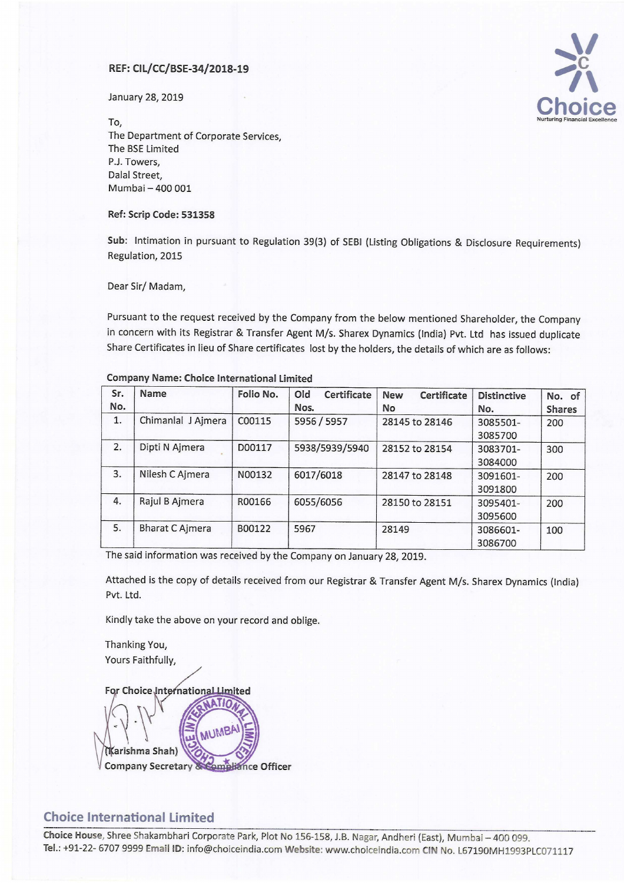January 28, 2019



 $\sf{Top}$  Nurturing Financial Excellence The Department of Corporate Services, The BSE Limited P.J. Towers, Dalal Street, Mumbai —400 001

#### Ref: Scrip Code: 531358

Sub: Intimation in pursuant to Regulation 39(3) of SEBI (Listing Obligations & Disclosure Requirements) Regulation, 2015

Dear Sir/ Madam,

Pursuant to the request received by the Company from the below mentioned Shareholder, the Company in concern with its Registrar & Transfer Agent M/s. Sharex Dynamics (India) Pvt. Ltd has issued duplicate Share Certificates in lieu of Share certificates lost by the holders, the details of which are as follows:

| Sr.<br>No. | Name                   | Folio No. | Old<br>Certificate<br>Nos. | <b>New</b><br>Certificate<br><b>No</b> | <b>Distinctive</b><br>No. | No. of<br><b>Shares</b> |
|------------|------------------------|-----------|----------------------------|----------------------------------------|---------------------------|-------------------------|
| 1.         | Chimanlal J Ajmera     | C00115    | 5956 / 5957                | 28145 to 28146                         | 3085501-<br>3085700       | 200                     |
| 2.         | Dipti N Ajmera         | D00117    | 5938/5939/5940             | 28152 to 28154                         | 3083701-<br>3084000       | 300                     |
| 3.         | Nilesh C Ajmera        | N00132    | 6017/6018                  | 28147 to 28148                         | 3091601-<br>3091800       | 200                     |
| 4.         | Rajul B Ajmera         | R00166    | 6055/6056                  | 28150 to 28151                         | 3095401-<br>3095600       | 200                     |
| 5.         | <b>Bharat C Ajmera</b> | B00122    | 5967                       | 28149                                  | 3086601-<br>3086700       | 100                     |

#### Company Name: Choice International Limited

The said information was received by the Company on January 28, 2019.

Attached is the copy of details received from our Registrar & Transfer Agent M/s. Sharex Dynamics (India) Pvt. Ltd.

Kindly take the above on your record and oblige.

Thanking You, Yours Faithfully,

For Choice International Limited MUMBA

(Karishma Shah) ompliance Officer **Company Secretary &** 

# Choice International Limited